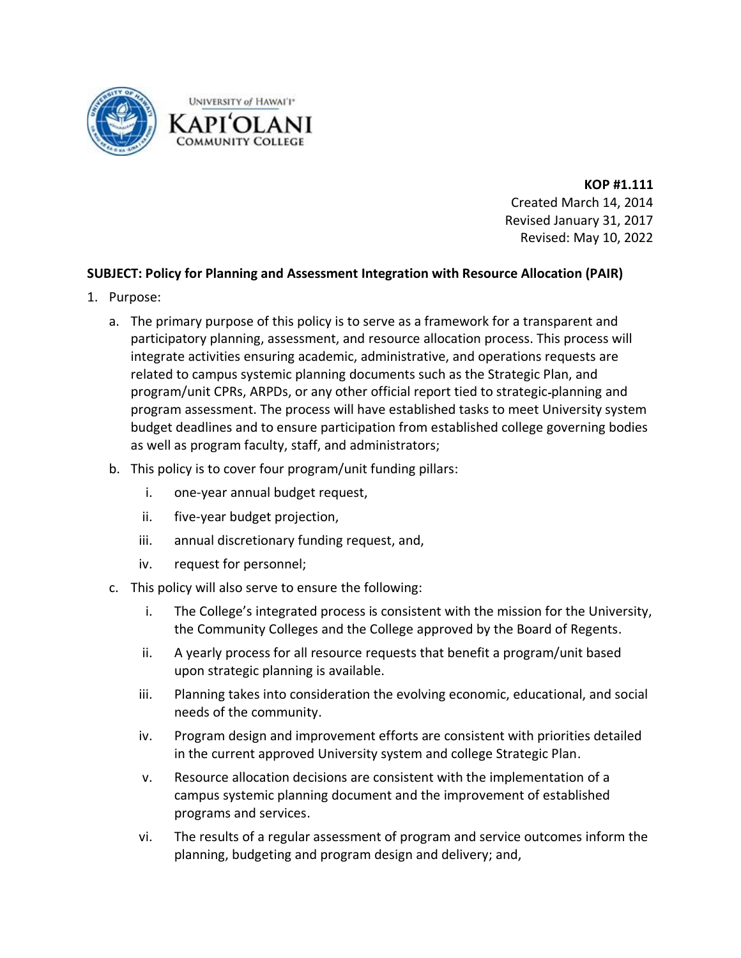

**KOP #1.111** Created March 14, 2014 Revised January 31, 2017 Revised: May 10, 2022

## **SUBJECT: Policy for Planning and Assessment Integration with Resource Allocation (PAIR)**

- 1. Purpose:
	- a. The primary purpose of this policy is to serve as a framework for a transparent and participatory planning, assessment, and resource allocation process. This process will integrate activities ensuring academic, administrative, and operations requests are related to campus systemic planning documents such as the Strategic Plan, and program/unit CPRs, ARPDs, or any other official report tied to strategic planning and program assessment. The process will have established tasks to meet University system budget deadlines and to ensure participation from established college governing bodies as well as program faculty, staff, and administrators;
	- b. This policy is to cover four program/unit funding pillars:
		- i. one-year annual budget request,
		- ii. five-year budget projection,
		- iii. annual discretionary funding request, and,
		- iv. request for personnel;
	- c. This policy will also serve to ensure the following:
		- i. The College's integrated process is consistent with the mission for the University, the Community Colleges and the College approved by the Board of Regents.
		- ii. A yearly process for all resource requests that benefit a program/unit based upon strategic planning is available.
		- iii. Planning takes into consideration the evolving economic, educational, and social needs of the community.
		- iv. Program design and improvement efforts are consistent with priorities detailed in the current approved University system and college Strategic Plan.
		- v. Resource allocation decisions are consistent with the implementation of a campus systemic planning document and the improvement of established programs and services.
		- vi. The results of a regular assessment of program and service outcomes inform the planning, budgeting and program design and delivery; and,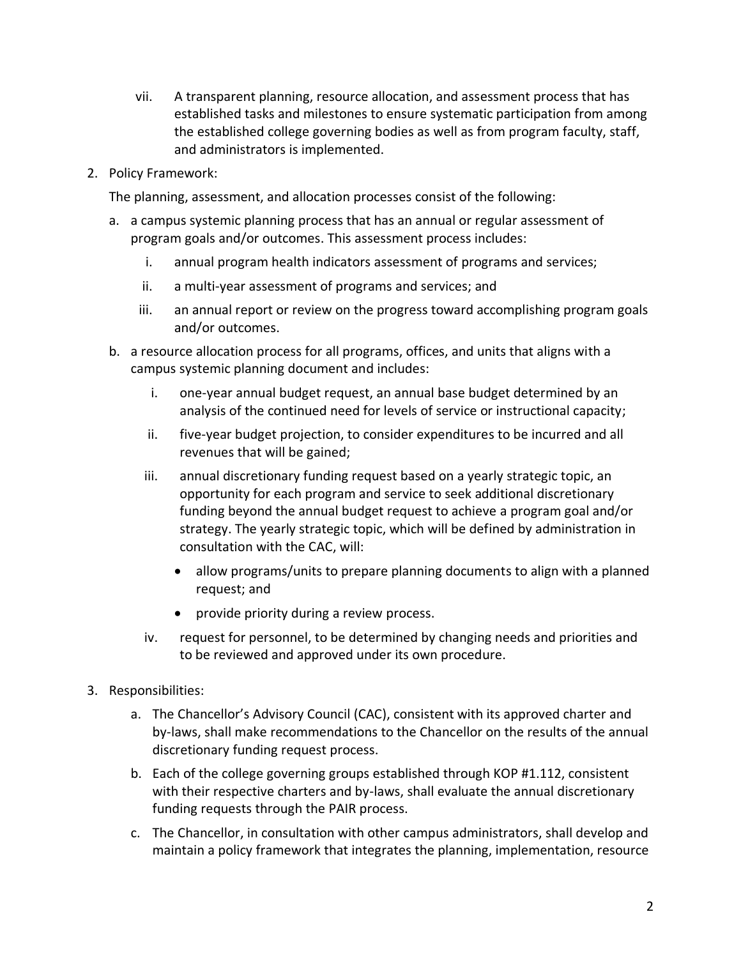- vii. A transparent planning, resource allocation, and assessment process that has established tasks and milestones to ensure systematic participation from among the established college governing bodies as well as from program faculty, staff, and administrators is implemented.
- 2. Policy Framework:

The planning, assessment, and allocation processes consist of the following:

- a. a campus systemic planning process that has an annual or regular assessment of program goals and/or outcomes. This assessment process includes:
	- i. annual program health indicators assessment of programs and services;
	- ii. a multi-year assessment of programs and services; and
	- iii. an annual report or review on the progress toward accomplishing program goals and/or outcomes.
- b. a resource allocation process for all programs, offices, and units that aligns with a campus systemic planning document and includes:
	- i. one-year annual budget request, an annual base budget determined by an analysis of the continued need for levels of service or instructional capacity;
	- ii. five-year budget projection, to consider expenditures to be incurred and all revenues that will be gained;
	- iii. annual discretionary funding request based on a yearly strategic topic, an opportunity for each program and service to seek additional discretionary funding beyond the annual budget request to achieve a program goal and/or strategy. The yearly strategic topic, which will be defined by administration in consultation with the CAC, will:
		- allow programs/units to prepare planning documents to align with a planned request; and
		- provide priority during a review process.
	- iv. request for personnel, to be determined by changing needs and priorities and to be reviewed and approved under its own procedure.
- 3. Responsibilities:
	- a. The Chancellor's Advisory Council (CAC), consistent with its approved charter and by-laws, shall make recommendations to the Chancellor on the results of the annual discretionary funding request process.
	- b. Each of the college governing groups established through KOP #1.112, consistent with their respective charters and by-laws, shall evaluate the annual discretionary funding requests through the PAIR process.
	- c. The Chancellor, in consultation with other campus administrators, shall develop and maintain a policy framework that integrates the planning, implementation, resource